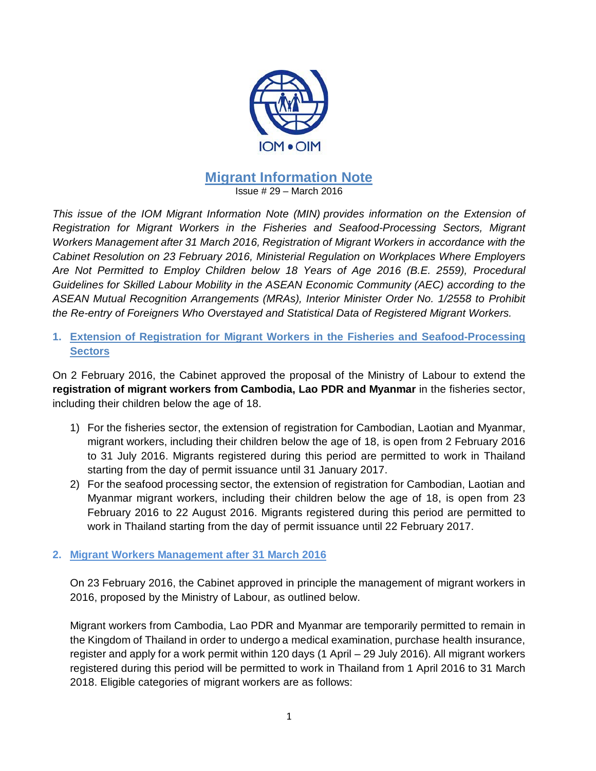

## **Migrant Information Note** Issue # 29 – March 2016

*This issue of the IOM Migrant Information Note (MIN) provides information on the Extension of Registration for Migrant Workers in the Fisheries and Seafood-Processing Sectors, Migrant Workers Management after 31 March 2016, Registration of Migrant Workers in accordance with the Cabinet Resolution on 23 February 2016, Ministerial Regulation on Workplaces Where Employers Are Not Permitted to Employ Children below 18 Years of Age 2016 (B.E. 2559), Procedural Guidelines for Skilled Labour Mobility in the ASEAN Economic Community (AEC) according to the ASEAN Mutual Recognition Arrangements (MRAs), Interior Minister Order No. 1/2558 to Prohibit the Re-entry of Foreigners Who Overstayed and Statistical Data of Registered Migrant Workers.*

**1. Extension of Registration for Migrant Workers in the Fisheries and Seafood-Processing Sectors**

On 2 February 2016, the Cabinet approved the proposal of the Ministry of Labour to extend the **registration of migrant workers from Cambodia, Lao PDR and Myanmar** in the fisheries sector, including their children below the age of 18.

- 1) For the fisheries sector, the extension of registration for Cambodian, Laotian and Myanmar, migrant workers, including their children below the age of 18, is open from 2 February 2016 to 31 July 2016. Migrants registered during this period are permitted to work in Thailand starting from the day of permit issuance until 31 January 2017.
- 2) For the seafood processing sector, the extension of registration for Cambodian, Laotian and Myanmar migrant workers, including their children below the age of 18, is open from 23 February 2016 to 22 August 2016. Migrants registered during this period are permitted to work in Thailand starting from the day of permit issuance until 22 February 2017.

## **2. Migrant Workers Management after 31 March 2016**

On 23 February 2016, the Cabinet approved in principle the management of migrant workers in 2016, proposed by the Ministry of Labour, as outlined below.

Migrant workers from Cambodia, Lao PDR and Myanmar are temporarily permitted to remain in the Kingdom of Thailand in order to undergo a medical examination, purchase health insurance, register and apply for a work permit within 120 days (1 April – 29 July 2016). All migrant workers registered during this period will be permitted to work in Thailand from 1 April 2016 to 31 March 2018. Eligible categories of migrant workers are as follows: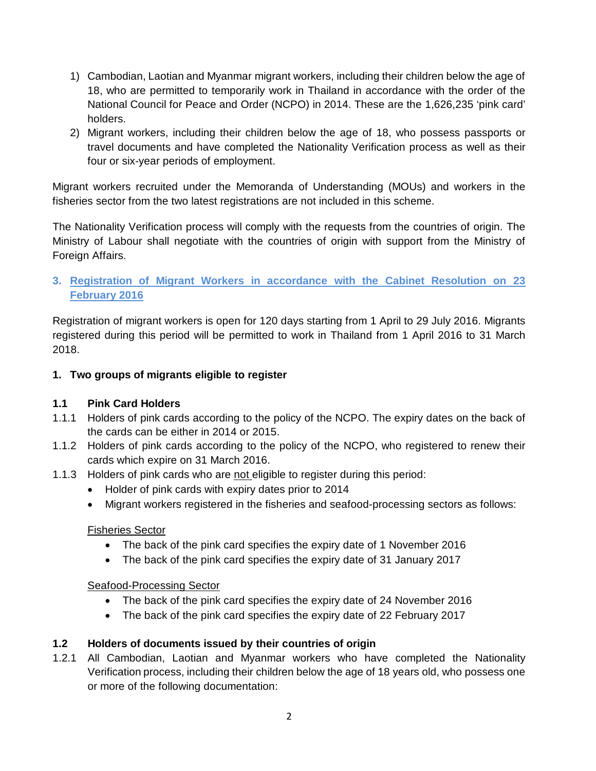- 1) Cambodian, Laotian and Myanmar migrant workers, including their children below the age of 18, who are permitted to temporarily work in Thailand in accordance with the order of the National Council for Peace and Order (NCPO) in 2014. These are the 1,626,235 'pink card' holders.
- 2) Migrant workers, including their children below the age of 18, who possess passports or travel documents and have completed the Nationality Verification process as well as their four or six-year periods of employment.

Migrant workers recruited under the Memoranda of Understanding (MOUs) and workers in the fisheries sector from the two latest registrations are not included in this scheme.

The Nationality Verification process will comply with the requests from the countries of origin. The Ministry of Labour shall negotiate with the countries of origin with support from the Ministry of Foreign Affairs.

## **3. Registration of Migrant Workers in accordance with the Cabinet Resolution on 23 February 2016**

Registration of migrant workers is open for 120 days starting from 1 April to 29 July 2016. Migrants registered during this period will be permitted to work in Thailand from 1 April 2016 to 31 March 2018.

## **1. Two groups of migrants eligible to register**

# **1.1 Pink Card Holders**

- 1.1.1 Holders of pink cards according to the policy of the NCPO. The expiry dates on the back of the cards can be either in 2014 or 2015.
- 1.1.2 Holders of pink cards according to the policy of the NCPO, who registered to renew their cards which expire on 31 March 2016.
- 1.1.3 Holders of pink cards who are not eligible to register during this period:
	- Holder of pink cards with expiry dates prior to 2014
	- Migrant workers registered in the fisheries and seafood-processing sectors as follows:

## Fisheries Sector

- The back of the pink card specifies the expiry date of 1 November 2016
- The back of the pink card specifies the expiry date of 31 January 2017

## Seafood-Processing Sector

- The back of the pink card specifies the expiry date of 24 November 2016
- The back of the pink card specifies the expiry date of 22 February 2017

## **1.2 Holders of documents issued by their countries of origin**

1.2.1 All Cambodian, Laotian and Myanmar workers who have completed the Nationality Verification process, including their children below the age of 18 years old, who possess one or more of the following documentation: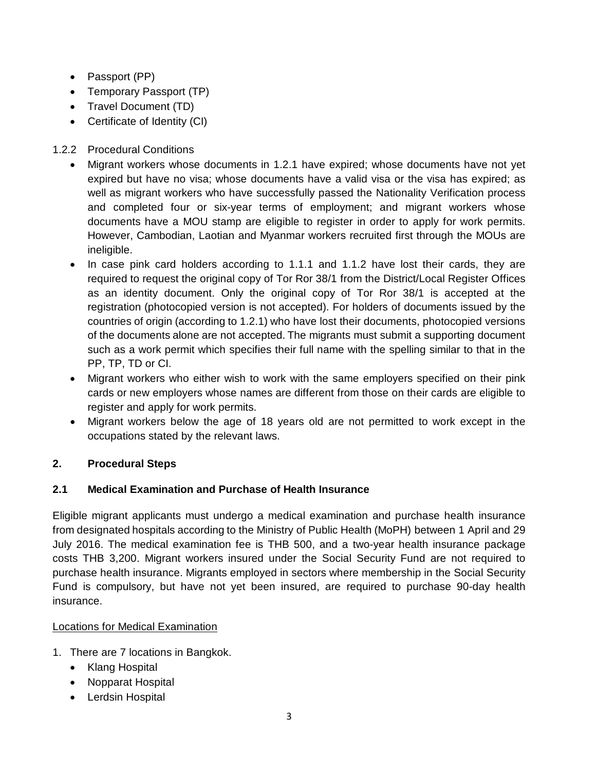- Passport (PP)
- Temporary Passport (TP)
- Travel Document (TD)
- Certificate of Identity (CI)

# 1.2.2 Procedural Conditions

- Migrant workers whose documents in 1.2.1 have expired; whose documents have not yet expired but have no visa; whose documents have a valid visa or the visa has expired; as well as migrant workers who have successfully passed the Nationality Verification process and completed four or six-year terms of employment; and migrant workers whose documents have a MOU stamp are eligible to register in order to apply for work permits. However, Cambodian, Laotian and Myanmar workers recruited first through the MOUs are ineligible.
- In case pink card holders according to 1.1.1 and 1.1.2 have lost their cards, they are required to request the original copy of Tor Ror 38/1 from the District/Local Register Offices as an identity document. Only the original copy of Tor Ror 38/1 is accepted at the registration (photocopied version is not accepted). For holders of documents issued by the countries of origin (according to 1.2.1) who have lost their documents, photocopied versions of the documents alone are not accepted. The migrants must submit a supporting document such as a work permit which specifies their full name with the spelling similar to that in the PP, TP, TD or CI.
- Migrant workers who either wish to work with the same employers specified on their pink cards or new employers whose names are different from those on their cards are eligible to register and apply for work permits.
- Migrant workers below the age of 18 years old are not permitted to work except in the occupations stated by the relevant laws.

# **2. Procedural Steps**

## **2.1 Medical Examination and Purchase of Health Insurance**

Eligible migrant applicants must undergo a medical examination and purchase health insurance from designated hospitals according to the Ministry of Public Health (MoPH) between 1 April and 29 July 2016. The medical examination fee is THB 500, and a two-year health insurance package costs THB 3,200. Migrant workers insured under the Social Security Fund are not required to purchase health insurance. Migrants employed in sectors where membership in the Social Security Fund is compulsory, but have not yet been insured, are required to purchase 90-day health insurance.

## Locations for Medical Examination

- 1. There are 7 locations in Bangkok.
	- Klang Hospital
	- Nopparat Hospital
	- Lerdsin Hospital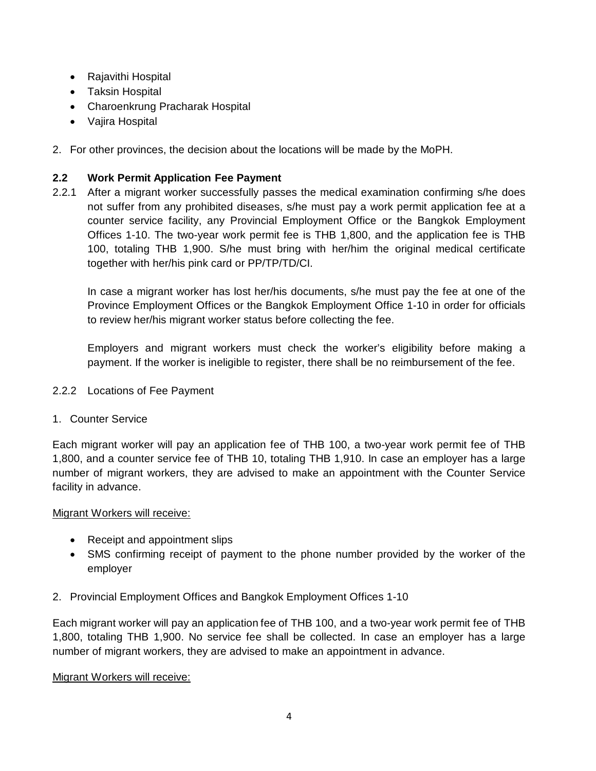- Rajavithi Hospital
- Taksin Hospital
- Charoenkrung Pracharak Hospital
- Vajira Hospital
- 2. For other provinces, the decision about the locations will be made by the MoPH.

## **2.2 Work Permit Application Fee Payment**

2.2.1 After a migrant worker successfully passes the medical examination confirming s/he does not suffer from any prohibited diseases, s/he must pay a work permit application fee at a counter service facility, any Provincial Employment Office or the Bangkok Employment Offices 1-10. The two-year work permit fee is THB 1,800, and the application fee is THB 100, totaling THB 1,900. S/he must bring with her/him the original medical certificate together with her/his pink card or PP/TP/TD/CI.

In case a migrant worker has lost her/his documents, s/he must pay the fee at one of the Province Employment Offices or the Bangkok Employment Office 1-10 in order for officials to review her/his migrant worker status before collecting the fee.

Employers and migrant workers must check the worker's eligibility before making a payment. If the worker is ineligible to register, there shall be no reimbursement of the fee.

## 2.2.2 Locations of Fee Payment

## 1. Counter Service

Each migrant worker will pay an application fee of THB 100, a two-year work permit fee of THB 1,800, and a counter service fee of THB 10, totaling THB 1,910. In case an employer has a large number of migrant workers, they are advised to make an appointment with the Counter Service facility in advance.

#### Migrant Workers will receive:

- Receipt and appointment slips
- SMS confirming receipt of payment to the phone number provided by the worker of the employer
- 2. Provincial Employment Offices and Bangkok Employment Offices 1-10

Each migrant worker will pay an application fee of THB 100, and a two-year work permit fee of THB 1,800, totaling THB 1,900. No service fee shall be collected. In case an employer has a large number of migrant workers, they are advised to make an appointment in advance.

#### Migrant Workers will receive: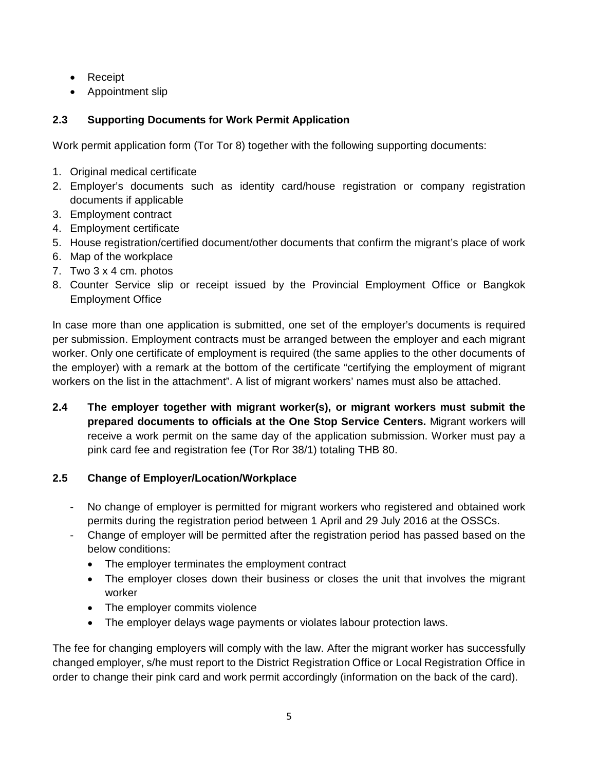- Receipt
- Appointment slip

# **2.3 Supporting Documents for Work Permit Application**

Work permit application form (Tor Tor 8) together with the following supporting documents:

- 1. Original medical certificate
- 2. Employer's documents such as identity card/house registration or company registration documents if applicable
- 3. Employment contract
- 4. Employment certificate
- 5. House registration/certified document/other documents that confirm the migrant's place of work
- 6. Map of the workplace
- 7. Two 3 x 4 cm. photos
- 8. Counter Service slip or receipt issued by the Provincial Employment Office or Bangkok Employment Office

In case more than one application is submitted, one set of the employer's documents is required per submission. Employment contracts must be arranged between the employer and each migrant worker. Only one certificate of employment is required (the same applies to the other documents of the employer) with a remark at the bottom of the certificate "certifying the employment of migrant workers on the list in the attachment". A list of migrant workers' names must also be attached.

**2.4 The employer together with migrant worker(s), or migrant workers must submit the prepared documents to officials at the One Stop Service Centers.** Migrant workers will receive a work permit on the same day of the application submission. Worker must pay a pink card fee and registration fee (Tor Ror 38/1) totaling THB 80.

# **2.5 Change of Employer/Location/Workplace**

- No change of employer is permitted for migrant workers who registered and obtained work permits during the registration period between 1 April and 29 July 2016 at the OSSCs.
- Change of employer will be permitted after the registration period has passed based on the below conditions:
	- The employer terminates the employment contract
	- The employer closes down their business or closes the unit that involves the migrant worker
	- The employer commits violence
	- The employer delays wage payments or violates labour protection laws.

The fee for changing employers will comply with the law. After the migrant worker has successfully changed employer, s/he must report to the District Registration Office or Local Registration Office in order to change their pink card and work permit accordingly (information on the back of the card).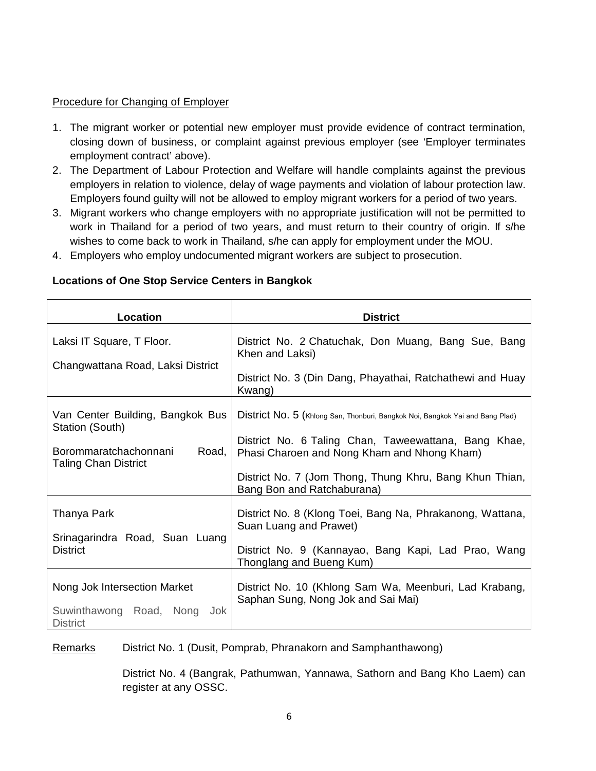#### Procedure for Changing of Employer

- 1. The migrant worker or potential new employer must provide evidence of contract termination, closing down of business, or complaint against previous employer (see 'Employer terminates employment contract' above).
- 2. The Department of Labour Protection and Welfare will handle complaints against the previous employers in relation to violence, delay of wage payments and violation of labour protection law. Employers found guilty will not be allowed to employ migrant workers for a period of two years.
- 3. Migrant workers who change employers with no appropriate justification will not be permitted to work in Thailand for a period of two years, and must return to their country of origin. If s/he wishes to come back to work in Thailand, s/he can apply for employment under the MOU.
- 4. Employers who employ undocumented migrant workers are subject to prosecution.

| Location                                                                                                             | <b>District</b>                                                                                                                                                                                                                                                               |
|----------------------------------------------------------------------------------------------------------------------|-------------------------------------------------------------------------------------------------------------------------------------------------------------------------------------------------------------------------------------------------------------------------------|
| Laksi IT Square, T Floor.<br>Changwattana Road, Laksi District                                                       | District No. 2 Chatuchak, Don Muang, Bang Sue, Bang<br>Khen and Laksi)<br>District No. 3 (Din Dang, Phayathai, Ratchathewi and Huay<br>Kwang)                                                                                                                                 |
| Van Center Building, Bangkok Bus<br>Station (South)<br>Borommaratchachonnani<br>Road,<br><b>Taling Chan District</b> | District No. 5 (Khlong San, Thonburi, Bangkok Noi, Bangkok Yai and Bang Plad)<br>District No. 6 Taling Chan, Taweewattana, Bang Khae,<br>Phasi Charoen and Nong Kham and Nhong Kham)<br>District No. 7 (Jom Thong, Thung Khru, Bang Khun Thian,<br>Bang Bon and Ratchaburana) |
| Thanya Park<br>Srinagarindra Road, Suan Luang<br><b>District</b>                                                     | District No. 8 (Klong Toei, Bang Na, Phrakanong, Wattana,<br>Suan Luang and Prawet)<br>District No. 9 (Kannayao, Bang Kapi, Lad Prao, Wang<br>Thonglang and Bueng Kum)                                                                                                        |
| Nong Jok Intersection Market<br>Suwinthawong Road, Nong<br>Jok.<br><b>District</b>                                   | District No. 10 (Khlong Sam Wa, Meenburi, Lad Krabang,<br>Saphan Sung, Nong Jok and Sai Mai)                                                                                                                                                                                  |

#### **Locations of One Stop Service Centers in Bangkok**

Remarks District No. 1 (Dusit, Pomprab, Phranakorn and Samphanthawong)

District No. 4 (Bangrak, Pathumwan, Yannawa, Sathorn and Bang Kho Laem) can register at any OSSC.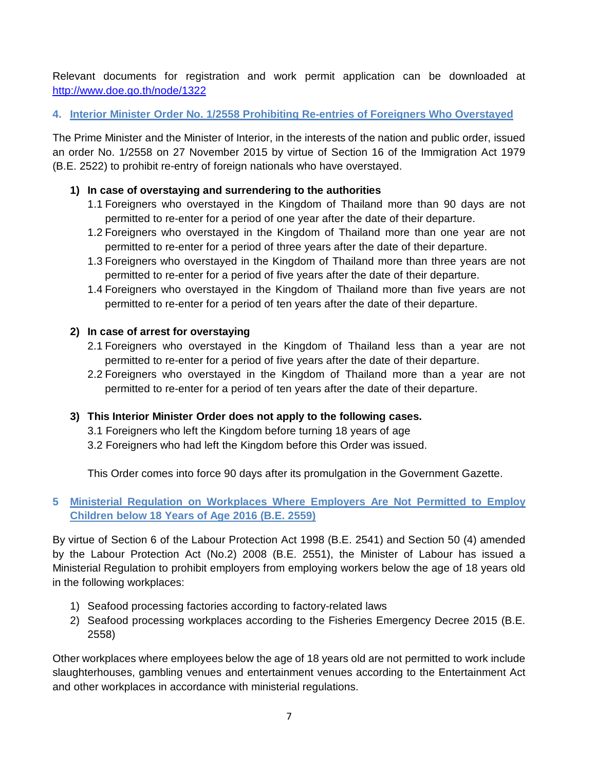Relevant documents for registration and work permit application can be downloaded at <http://www.doe.go.th/node/1322>

## **4. Interior Minister Order No. 1/2558 Prohibiting Re-entries of Foreigners Who Overstayed**

The Prime Minister and the Minister of Interior, in the interests of the nation and public order, issued an order No. 1/2558 on 27 November 2015 by virtue of Section 16 of the Immigration Act 1979 (B.E. 2522) to prohibit re-entry of foreign nationals who have overstayed.

## **1) In case of overstaying and surrendering to the authorities**

- 1.1 Foreigners who overstayed in the Kingdom of Thailand more than 90 days are not permitted to re-enter for a period of one year after the date of their departure.
- 1.2 Foreigners who overstayed in the Kingdom of Thailand more than one year are not permitted to re-enter for a period of three years after the date of their departure.
- 1.3 Foreigners who overstayed in the Kingdom of Thailand more than three years are not permitted to re-enter for a period of five years after the date of their departure.
- 1.4 Foreigners who overstayed in the Kingdom of Thailand more than five years are not permitted to re-enter for a period of ten years after the date of their departure.

## **2) In case of arrest for overstaying**

- 2.1 Foreigners who overstayed in the Kingdom of Thailand less than a year are not permitted to re-enter for a period of five years after the date of their departure.
- 2.2 Foreigners who overstayed in the Kingdom of Thailand more than a year are not permitted to re-enter for a period of ten years after the date of their departure.

# **3) This Interior Minister Order does not apply to the following cases.**

- 3.1 Foreigners who left the Kingdom before turning 18 years of age
- 3.2 Foreigners who had left the Kingdom before this Order was issued.

This Order comes into force 90 days after its promulgation in the Government Gazette.

## **5 Ministerial Regulation on Workplaces Where Employers Are Not Permitted to Employ Children below 18 Years of Age 2016 (B.E. 2559)**

By virtue of Section 6 of the Labour Protection Act 1998 (B.E. 2541) and Section 50 (4) amended by the Labour Protection Act (No.2) 2008 (B.E. 2551), the Minister of Labour has issued a Ministerial Regulation to prohibit employers from employing workers below the age of 18 years old in the following workplaces:

- 1) Seafood processing factories according to factory-related laws
- 2) Seafood processing workplaces according to the Fisheries Emergency Decree 2015 (B.E. 2558)

Other workplaces where employees below the age of 18 years old are not permitted to work include slaughterhouses, gambling venues and entertainment venues according to the Entertainment Act and other workplaces in accordance with ministerial regulations.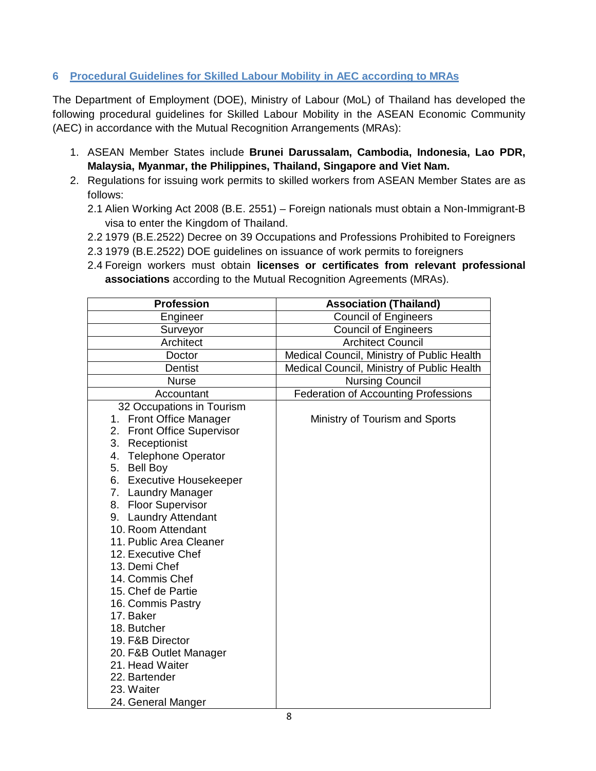## **6 Procedural Guidelines for Skilled Labour Mobility in AEC according to MRAs**

The Department of Employment (DOE), Ministry of Labour (MoL) of Thailand has developed the following procedural guidelines for Skilled Labour Mobility in the ASEAN Economic Community (AEC) in accordance with the Mutual Recognition Arrangements (MRAs):

- 1. ASEAN Member States include **Brunei Darussalam, Cambodia, Indonesia, Lao PDR, Malaysia, Myanmar, the Philippines, Thailand, Singapore and Viet Nam.**
- 2. Regulations for issuing work permits to skilled workers from ASEAN Member States are as follows:
	- 2.1 Alien Working Act 2008 (B.E. 2551) Foreign nationals must obtain a Non-Immigrant-B visa to enter the Kingdom of Thailand.
	- 2.2 1979 (B.E.2522) Decree on 39 Occupations and Professions Prohibited to Foreigners
	- 2.3 1979 (B.E.2522) DOE guidelines on issuance of work permits to foreigners
	- 2.4 Foreign workers must obtain **licenses or certificates from relevant professional associations** according to the Mutual Recognition Agreements (MRAs).

| <b>Profession</b>                                                                                                                                                                                                                                                                                                                                                                                                                                                                                                                                      | <b>Association (Thailand)</b>               |
|--------------------------------------------------------------------------------------------------------------------------------------------------------------------------------------------------------------------------------------------------------------------------------------------------------------------------------------------------------------------------------------------------------------------------------------------------------------------------------------------------------------------------------------------------------|---------------------------------------------|
| Engineer                                                                                                                                                                                                                                                                                                                                                                                                                                                                                                                                               | <b>Council of Engineers</b>                 |
| Surveyor                                                                                                                                                                                                                                                                                                                                                                                                                                                                                                                                               | <b>Council of Engineers</b>                 |
| Architect                                                                                                                                                                                                                                                                                                                                                                                                                                                                                                                                              | <b>Architect Council</b>                    |
| Doctor                                                                                                                                                                                                                                                                                                                                                                                                                                                                                                                                                 | Medical Council, Ministry of Public Health  |
| <b>Dentist</b>                                                                                                                                                                                                                                                                                                                                                                                                                                                                                                                                         | Medical Council, Ministry of Public Health  |
| <b>Nurse</b>                                                                                                                                                                                                                                                                                                                                                                                                                                                                                                                                           | <b>Nursing Council</b>                      |
| Accountant                                                                                                                                                                                                                                                                                                                                                                                                                                                                                                                                             | <b>Federation of Accounting Professions</b> |
| 32 Occupations in Tourism<br>1. Front Office Manager<br>2. Front Office Supervisor<br>3. Receptionist<br>4. Telephone Operator<br>5. Bell Boy<br>6. Executive Housekeeper<br>7. Laundry Manager<br>8. Floor Supervisor<br>9. Laundry Attendant<br>10. Room Attendant<br>11. Public Area Cleaner<br>12. Executive Chef<br>13. Demi Chef<br>14. Commis Chef<br>15. Chef de Partie<br>16. Commis Pastry<br>17. Baker<br>18. Butcher<br>19. F&B Director<br>20. F&B Outlet Manager<br>21. Head Waiter<br>22. Bartender<br>23. Waiter<br>24. General Manger | Ministry of Tourism and Sports              |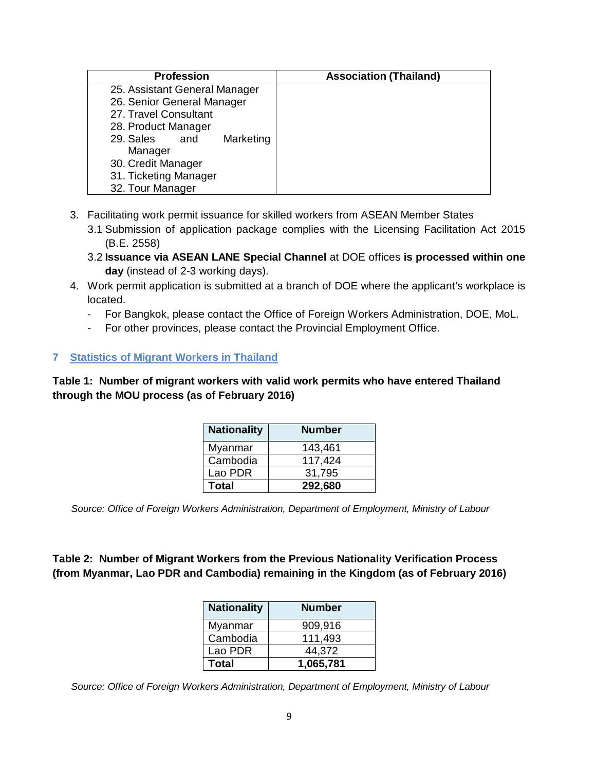| <b>Profession</b>             | <b>Association (Thailand)</b> |
|-------------------------------|-------------------------------|
| 25. Assistant General Manager |                               |
| 26. Senior General Manager    |                               |
| 27. Travel Consultant         |                               |
| 28. Product Manager           |                               |
| 29. Sales<br>Marketing<br>and |                               |
| Manager                       |                               |
| 30. Credit Manager            |                               |
| 31. Ticketing Manager         |                               |
| 32. Tour Manager              |                               |

- 3. Facilitating work permit issuance for skilled workers from ASEAN Member States
	- 3.1 Submission of application package complies with the Licensing Facilitation Act 2015 (B.E. 2558)
	- 3.2 **Issuance via ASEAN LANE Special Channel** at DOE offices **is processed within one day** (instead of 2-3 working days).
- 4. Work permit application is submitted at a branch of DOE where the applicant's workplace is located.
	- For Bangkok, please contact the Office of Foreign Workers Administration, DOE, MoL.
	- For other provinces, please contact the Provincial Employment Office.

#### **7 Statistics of Migrant Workers in Thailand**

**Table 1: Number of migrant workers with valid work permits who have entered Thailand through the MOU process (as of February 2016)**

| <b>Nationality</b> | <b>Number</b> |
|--------------------|---------------|
| Myanmar            | 143,461       |
| Cambodia           | 117,424       |
| Lao PDR            | 31,795        |
| <b>Total</b>       | 292,680       |

*Source: Office of Foreign Workers Administration, Department of Employment, Ministry of Labour*

**Table 2: Number of Migrant Workers from the Previous Nationality Verification Process (from Myanmar, Lao PDR and Cambodia) remaining in the Kingdom (as of February 2016)**

| <b>Nationality</b> | <b>Number</b> |
|--------------------|---------------|
| Myanmar            | 909,916       |
| Cambodia           | 111,493       |
| Lao PDR            | 44,372        |
| Total              | 1,065,781     |

*Source: Office of Foreign Workers Administration, Department of Employment, Ministry of Labour*